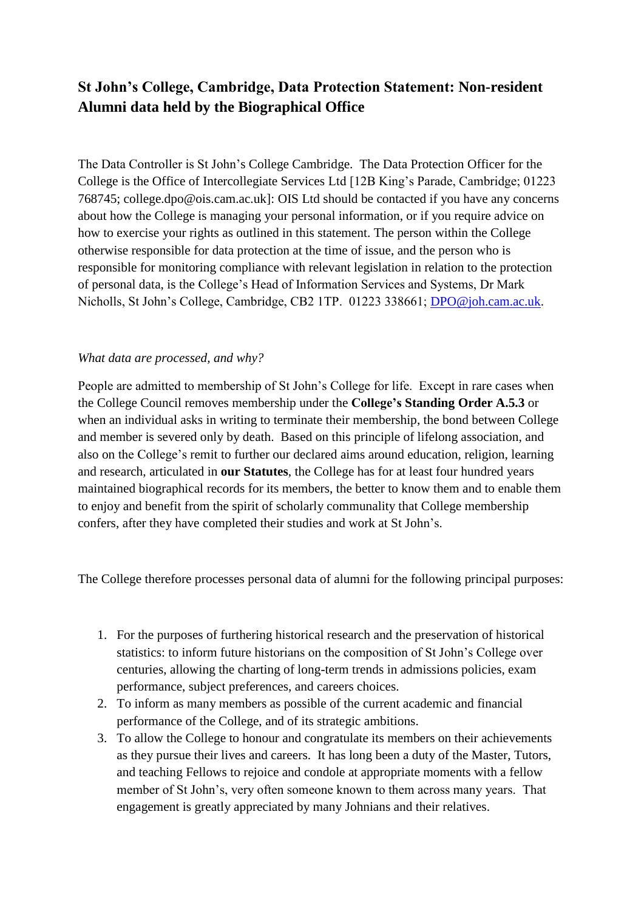# **St John's College, Cambridge, Data Protection Statement: Non-resident Alumni data held by the Biographical Office**

The Data Controller is St John's College Cambridge. The Data Protection Officer for the College is the Office of Intercollegiate Services Ltd [12B King's Parade, Cambridge; 01223 768745; college.dpo@ois.cam.ac.uk]: OIS Ltd should be contacted if you have any concerns about how the College is managing your personal information, or if you require advice on how to exercise your rights as outlined in this statement. The person within the College otherwise responsible for data protection at the time of issue, and the person who is responsible for monitoring compliance with relevant legislation in relation to the protection of personal data, is the College's Head of Information Services and Systems, Dr Mark Nicholls, St John's College, Cambridge, CB2 1TP. 01223 338661; [DPO@joh.cam.ac.uk.](mailto:DPO@joh.cam.ac.uk)

### *What data are processed, and why?*

People are admitted to membership of St John's College for life. Except in rare cases when the College Council removes membership under the **College's Standing Order A.5.3** or when an individual asks in writing to terminate their membership, the bond between College and member is severed only by death. Based on this principle of lifelong association, and also on the College's remit to further our declared aims around education, religion, learning and research, articulated in **our Statutes**, the College has for at least four hundred years maintained biographical records for its members, the better to know them and to enable them to enjoy and benefit from the spirit of scholarly communality that College membership confers, after they have completed their studies and work at St John's.

The College therefore processes personal data of alumni for the following principal purposes:

- 1. For the purposes of furthering historical research and the preservation of historical statistics: to inform future historians on the composition of St John's College over centuries, allowing the charting of long-term trends in admissions policies, exam performance, subject preferences, and careers choices.
- 2. To inform as many members as possible of the current academic and financial performance of the College, and of its strategic ambitions.
- 3. To allow the College to honour and congratulate its members on their achievements as they pursue their lives and careers. It has long been a duty of the Master, Tutors, and teaching Fellows to rejoice and condole at appropriate moments with a fellow member of St John's, very often someone known to them across many years. That engagement is greatly appreciated by many Johnians and their relatives.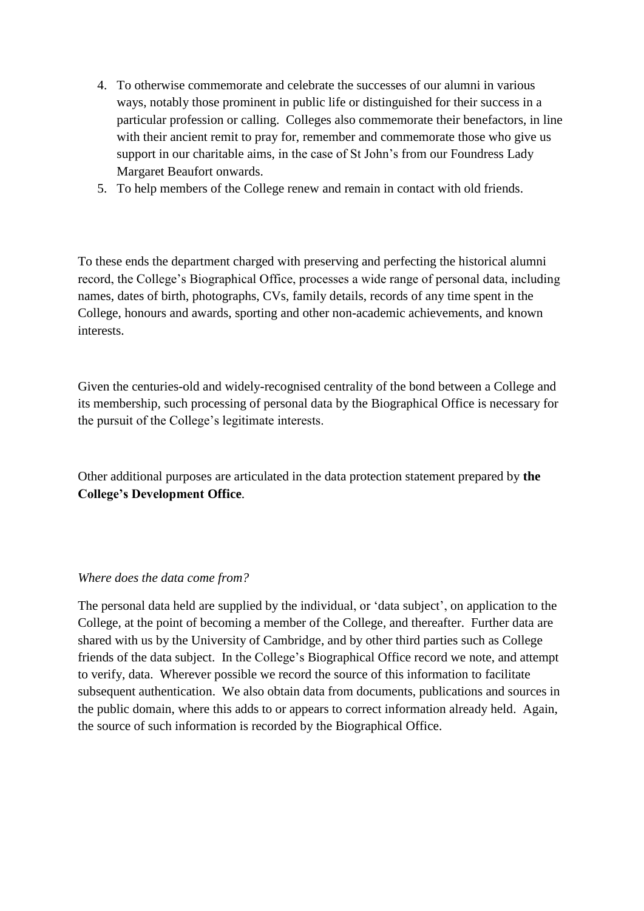- 4. To otherwise commemorate and celebrate the successes of our alumni in various ways, notably those prominent in public life or distinguished for their success in a particular profession or calling. Colleges also commemorate their benefactors, in line with their ancient remit to pray for, remember and commemorate those who give us support in our charitable aims, in the case of St John's from our Foundress Lady Margaret Beaufort onwards.
- 5. To help members of the College renew and remain in contact with old friends.

To these ends the department charged with preserving and perfecting the historical alumni record, the College's Biographical Office, processes a wide range of personal data, including names, dates of birth, photographs, CVs, family details, records of any time spent in the College, honours and awards, sporting and other non-academic achievements, and known interests.

Given the centuries-old and widely-recognised centrality of the bond between a College and its membership, such processing of personal data by the Biographical Office is necessary for the pursuit of the College's legitimate interests.

Other additional purposes are articulated in the data protection statement prepared by **the College's Development Office**.

#### *Where does the data come from?*

The personal data held are supplied by the individual, or 'data subject', on application to the College, at the point of becoming a member of the College, and thereafter. Further data are shared with us by the University of Cambridge, and by other third parties such as College friends of the data subject. In the College's Biographical Office record we note, and attempt to verify, data. Wherever possible we record the source of this information to facilitate subsequent authentication. We also obtain data from documents, publications and sources in the public domain, where this adds to or appears to correct information already held. Again, the source of such information is recorded by the Biographical Office.